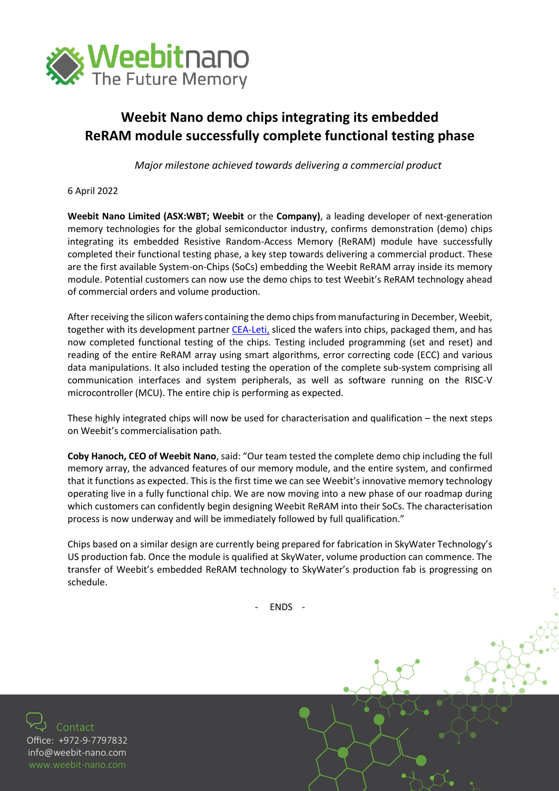

## **Weebit Nano demo chips integrating its embedded ReRAM module successfully complete functional testing phase**

*Major milestone achieved towards delivering a commercial product*

6 April 2022

**Weebit Nano Limited (ASX:WBT; Weebit** or the **Company)**, a leading developer of next-generation memory technologies for the global semiconductor industry, confirms demonstration (demo) chips integrating its embedded Resistive Random-Access Memory (ReRAM) module have successfully completed their functional testing phase, a key step towards delivering a commercial product. These are the first available System-on-Chips (SoCs) embedding the Weebit ReRAM array inside its memory module. Potential customers can now use the demo chips to test Weebit's ReRAM technology ahead of commercial orders and volume production.

After receiving the silicon wafers containing the demo chips from manufacturing in December, Weebit, together with its development partner [CEA-Leti,](https://www.leti-cea.com/) sliced the wafers into chips, packaged them, and has now completed functional testing of the chips. Testing included programming (set and reset) and reading of the entire ReRAM array using smart algorithms, error correcting code (ECC) and various data manipulations. It also included testing the operation of the complete sub-system comprising all communication interfaces and system peripherals, as well as software running on the RISC-V microcontroller (MCU). The entire chip is performing as expected.

These highly integrated chips will now be used for characterisation and qualification – the next steps on Weebit's commercialisation path.

**Coby Hanoch, CEO of Weebit Nano**, said: "Our team tested the complete demo chip including the full memory array, the advanced features of our memory module, and the entire system, and confirmed that it functions as expected. This is the first time we can see Weebit's innovative memory technology operating live in a fully functional chip. We are now moving into a new phase of our roadmap during which customers can confidently begin designing Weebit ReRAM into their SoCs. The characterisation process is now underway and will be immediately followed by full qualification."

Chips based on a similar design are currently being prepared for fabrication in SkyWater Technology's US production fab. Once the module is qualified at SkyWater, volume production can commence. The transfer of Weebit's embedded ReRAM technology to SkyWater's production fab is progressing on schedule.

- ENDS -

Contact Office: +972-9-7797832 [info@weebit-nano.com](mailto:info@weebit-nano.com)